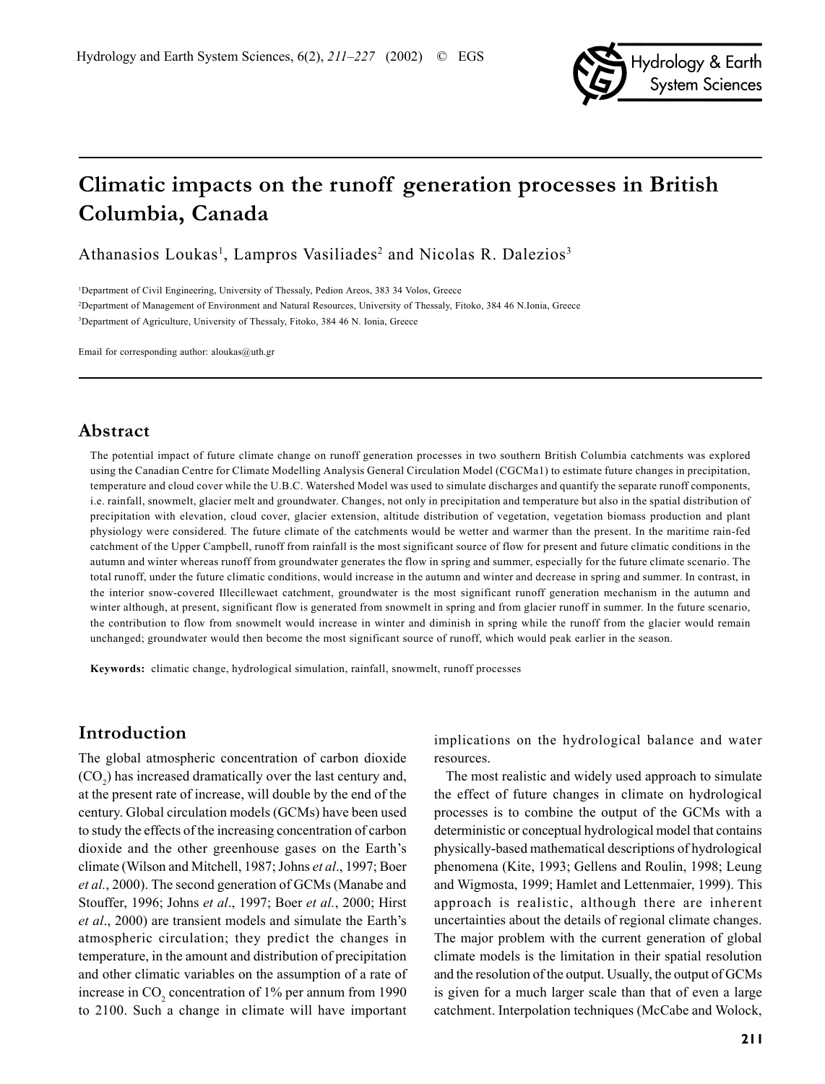

# **Climatic impacts on the runoff generation processes in British Columbia, Canada**

Athanasios Loukas<sup>1</sup>, Lampros Vasiliades<sup>2</sup> and Nicolas R. Dalezios<sup>3</sup>

1 Department of Civil Engineering, University of Thessaly, Pedion Areos, 383 34 Volos, Greece 2 Department of Management of Environment and Natural Resources, University of Thessaly, Fitoko, 384 46 N.Ionia, Greece 3 Department of Agriculture, University of Thessaly, Fitoko, 384 46 N. Ionia, Greece

Email for corresponding author: aloukas@uth.gr

### **Abstract**

The potential impact of future climate change on runoff generation processes in two southern British Columbia catchments was explored using the Canadian Centre for Climate Modelling Analysis General Circulation Model (CGCMa1) to estimate future changes in precipitation, temperature and cloud cover while the U.B.C. Watershed Model was used to simulate discharges and quantify the separate runoff components, i.e. rainfall, snowmelt, glacier melt and groundwater. Changes, not only in precipitation and temperature but also in the spatial distribution of precipitation with elevation, cloud cover, glacier extension, altitude distribution of vegetation, vegetation biomass production and plant physiology were considered. The future climate of the catchments would be wetter and warmer than the present. In the maritime rain-fed catchment of the Upper Campbell, runoff from rainfall is the most significant source of flow for present and future climatic conditions in the autumn and winter whereas runoff from groundwater generates the flow in spring and summer, especially for the future climate scenario. The total runoff, under the future climatic conditions, would increase in the autumn and winter and decrease in spring and summer. In contrast, in the interior snow-covered Illecillewaet catchment, groundwater is the most significant runoff generation mechanism in the autumn and winter although, at present, significant flow is generated from snowmelt in spring and from glacier runoff in summer. In the future scenario, the contribution to flow from snowmelt would increase in winter and diminish in spring while the runoff from the glacier would remain unchanged; groundwater would then become the most significant source of runoff, which would peak earlier in the season.

**Keywords:** climatic change, hydrological simulation, rainfall, snowmelt, runoff processes

### **Introduction**

The global atmospheric concentration of carbon dioxide  $(CO_2)$  has increased dramatically over the last century and, at the present rate of increase, will double by the end of the century. Global circulation models (GCMs) have been used to study the effects of the increasing concentration of carbon dioxide and the other greenhouse gases on the Earth's climate (Wilson and Mitchell, 1987; Johns *et al*., 1997; Boer *et al.*, 2000). The second generation of GCMs (Manabe and Stouffer, 1996; Johns *et al*., 1997; Boer *et al.*, 2000; Hirst *et al*., 2000) are transient models and simulate the Earth's atmospheric circulation; they predict the changes in temperature, in the amount and distribution of precipitation and other climatic variables on the assumption of a rate of increase in  $CO_2$  concentration of 1% per annum from 1990 to 2100. Such a change in climate will have important

implications on the hydrological balance and water resources.

The most realistic and widely used approach to simulate the effect of future changes in climate on hydrological processes is to combine the output of the GCMs with a deterministic or conceptual hydrological model that contains physically-based mathematical descriptions of hydrological phenomena (Kite, 1993; Gellens and Roulin, 1998; Leung and Wigmosta, 1999; Hamlet and Lettenmaier, 1999). This approach is realistic, although there are inherent uncertainties about the details of regional climate changes. The major problem with the current generation of global climate models is the limitation in their spatial resolution and the resolution of the output. Usually, the output of GCMs is given for a much larger scale than that of even a large catchment. Interpolation techniques (McCabe and Wolock,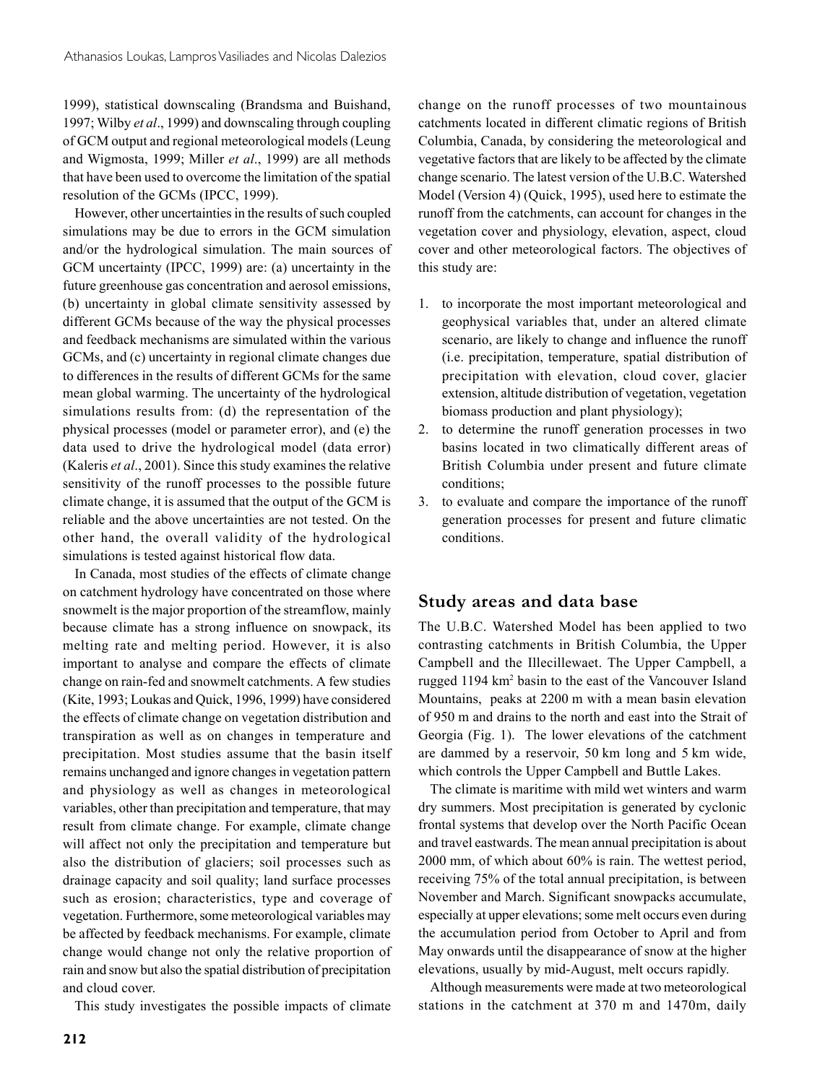1999), statistical downscaling (Brandsma and Buishand, 1997; Wilby *et al*., 1999) and downscaling through coupling of GCM output and regional meteorological models (Leung and Wigmosta, 1999; Miller *et al*., 1999) are all methods that have been used to overcome the limitation of the spatial resolution of the GCMs (IPCC, 1999).

However, other uncertainties in the results of such coupled simulations may be due to errors in the GCM simulation and/or the hydrological simulation. The main sources of GCM uncertainty (IPCC, 1999) are: (a) uncertainty in the future greenhouse gas concentration and aerosol emissions, (b) uncertainty in global climate sensitivity assessed by different GCMs because of the way the physical processes and feedback mechanisms are simulated within the various GCMs, and (c) uncertainty in regional climate changes due to differences in the results of different GCMs for the same mean global warming. The uncertainty of the hydrological simulations results from: (d) the representation of the physical processes (model or parameter error), and (e) the data used to drive the hydrological model (data error) (Kaleris *et al*., 2001). Since this study examines the relative sensitivity of the runoff processes to the possible future climate change, it is assumed that the output of the GCM is reliable and the above uncertainties are not tested. On the other hand, the overall validity of the hydrological simulations is tested against historical flow data.

In Canada, most studies of the effects of climate change on catchment hydrology have concentrated on those where snowmelt is the major proportion of the streamflow, mainly because climate has a strong influence on snowpack, its melting rate and melting period. However, it is also important to analyse and compare the effects of climate change on rain-fed and snowmelt catchments. A few studies (Kite, 1993; Loukas and Quick, 1996, 1999) have considered the effects of climate change on vegetation distribution and transpiration as well as on changes in temperature and precipitation. Most studies assume that the basin itself remains unchanged and ignore changes in vegetation pattern and physiology as well as changes in meteorological variables, other than precipitation and temperature, that may result from climate change. For example, climate change will affect not only the precipitation and temperature but also the distribution of glaciers; soil processes such as drainage capacity and soil quality; land surface processes such as erosion; characteristics, type and coverage of vegetation. Furthermore, some meteorological variables may be affected by feedback mechanisms. For example, climate change would change not only the relative proportion of rain and snow but also the spatial distribution of precipitation and cloud cover.

This study investigates the possible impacts of climate

change on the runoff processes of two mountainous catchments located in different climatic regions of British Columbia, Canada, by considering the meteorological and vegetative factors that are likely to be affected by the climate change scenario. The latest version of the U.B.C. Watershed Model (Version 4) (Quick, 1995), used here to estimate the runoff from the catchments, can account for changes in the vegetation cover and physiology, elevation, aspect, cloud cover and other meteorological factors. The objectives of this study are:

- 1. to incorporate the most important meteorological and geophysical variables that, under an altered climate scenario, are likely to change and influence the runoff (i.e. precipitation, temperature, spatial distribution of precipitation with elevation, cloud cover, glacier extension, altitude distribution of vegetation, vegetation biomass production and plant physiology);
- 2. to determine the runoff generation processes in two basins located in two climatically different areas of British Columbia under present and future climate conditions;
- 3. to evaluate and compare the importance of the runoff generation processes for present and future climatic conditions.

### **Study areas and data base**

The U.B.C. Watershed Model has been applied to two contrasting catchments in British Columbia, the Upper Campbell and the Illecillewaet. The Upper Campbell, a rugged 1194 km<sup>2</sup> basin to the east of the Vancouver Island Mountains, peaks at 2200 m with a mean basin elevation of 950 m and drains to the north and east into the Strait of Georgia (Fig. 1). The lower elevations of the catchment are dammed by a reservoir, 50 km long and 5 km wide, which controls the Upper Campbell and Buttle Lakes.

The climate is maritime with mild wet winters and warm dry summers. Most precipitation is generated by cyclonic frontal systems that develop over the North Pacific Ocean and travel eastwards. The mean annual precipitation is about 2000 mm, of which about 60% is rain. The wettest period, receiving 75% of the total annual precipitation, is between November and March. Significant snowpacks accumulate, especially at upper elevations; some melt occurs even during the accumulation period from October to April and from May onwards until the disappearance of snow at the higher elevations, usually by mid-August, melt occurs rapidly.

Although measurements were made at two meteorological stations in the catchment at 370 m and 1470m, daily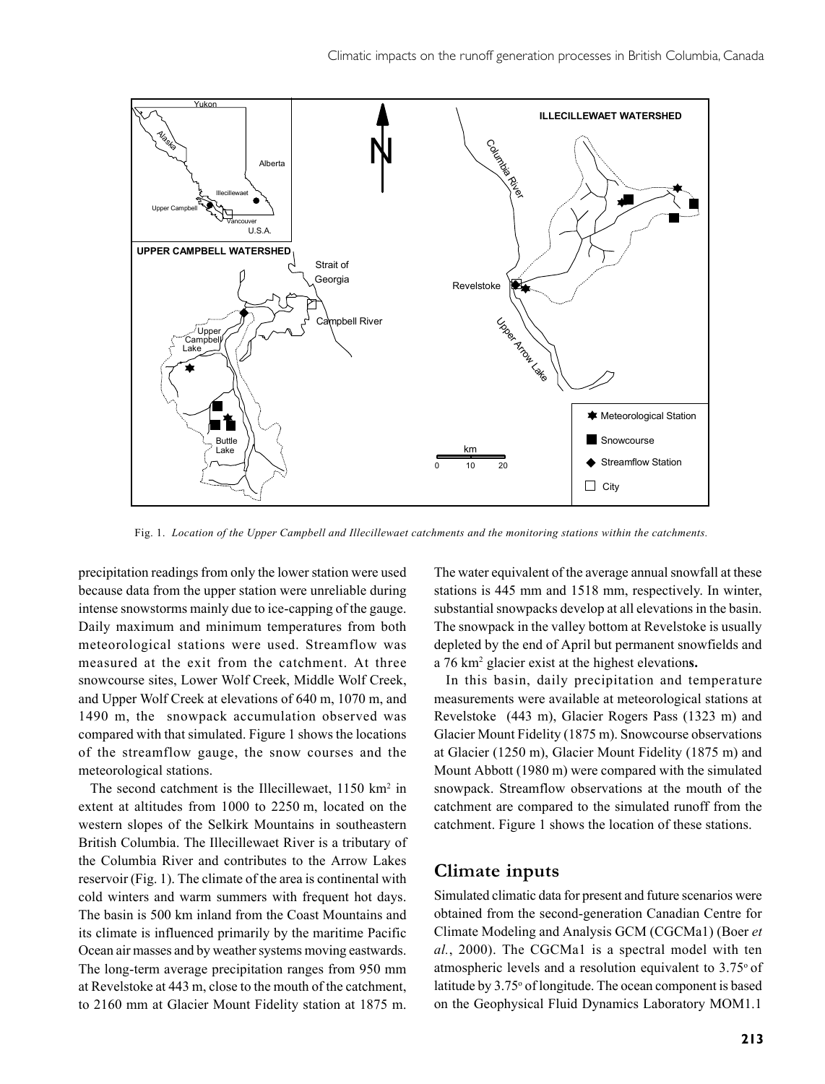

Fig. 1. *Location of the Upper Campbell and Illecillewaet catchments and the monitoring stations within the catchments.*

precipitation readings from only the lower station were used because data from the upper station were unreliable during intense snowstorms mainly due to ice-capping of the gauge. Daily maximum and minimum temperatures from both meteorological stations were used. Streamflow was measured at the exit from the catchment. At three snowcourse sites, Lower Wolf Creek, Middle Wolf Creek, and Upper Wolf Creek at elevations of 640 m, 1070 m, and 1490 m, the snowpack accumulation observed was compared with that simulated. Figure 1 shows the locations of the streamflow gauge, the snow courses and the meteorological stations.

The second catchment is the Illecillewaet, 1150 km<sup>2</sup> in extent at altitudes from 1000 to 2250 m, located on the western slopes of the Selkirk Mountains in southeastern British Columbia. The Illecillewaet River is a tributary of the Columbia River and contributes to the Arrow Lakes reservoir (Fig. 1). The climate of the area is continental with cold winters and warm summers with frequent hot days. The basin is 500 km inland from the Coast Mountains and its climate is influenced primarily by the maritime Pacific Ocean air masses and by weather systems moving eastwards. The long-term average precipitation ranges from 950 mm at Revelstoke at 443 m, close to the mouth of the catchment, to 2160 mm at Glacier Mount Fidelity station at 1875 m.

The water equivalent of the average annual snowfall at these stations is 445 mm and 1518 mm, respectively. In winter, substantial snowpacks develop at all elevations in the basin. The snowpack in the valley bottom at Revelstoke is usually depleted by the end of April but permanent snowfields and a 76 km2 glacier exist at the highest elevation**s.**

In this basin, daily precipitation and temperature measurements were available at meteorological stations at Revelstoke (443 m), Glacier Rogers Pass (1323 m) and Glacier Mount Fidelity (1875 m). Snowcourse observations at Glacier (1250 m), Glacier Mount Fidelity (1875 m) and Mount Abbott (1980 m) were compared with the simulated snowpack. Streamflow observations at the mouth of the catchment are compared to the simulated runoff from the catchment. Figure 1 shows the location of these stations.

### **Climate inputs**

Simulated climatic data for present and future scenarios were obtained from the second-generation Canadian Centre for Climate Modeling and Analysis GCM (CGCMa1) (Boer *et al.*, 2000). The CGCMa1 is a spectral model with ten atmospheric levels and a resolution equivalent to 3.75° of latitude by 3.75° of longitude. The ocean component is based on the Geophysical Fluid Dynamics Laboratory MOM1.1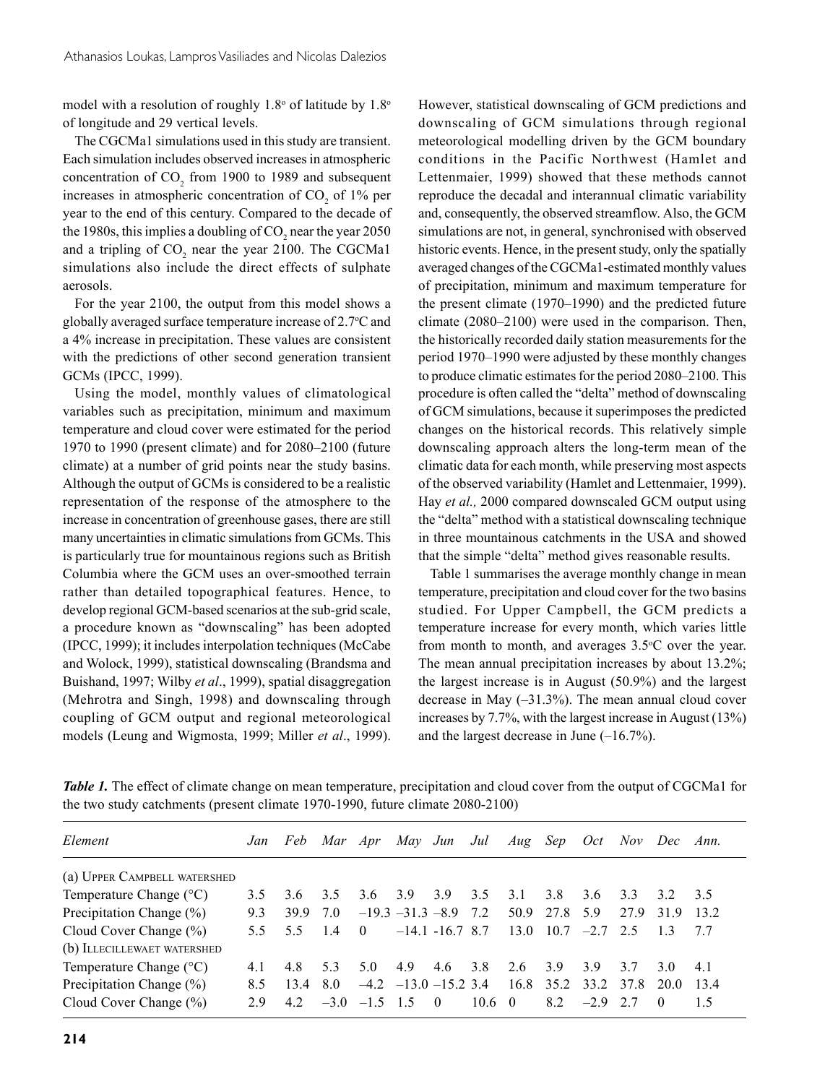model with a resolution of roughly  $1.8^{\circ}$  of latitude by  $1.8^{\circ}$ of longitude and 29 vertical levels.

The CGCMa1 simulations used in this study are transient. Each simulation includes observed increases in atmospheric concentration of  $CO_2$  from 1900 to 1989 and subsequent increases in atmospheric concentration of  $CO<sub>2</sub>$  of 1% per year to the end of this century. Compared to the decade of the 1980s, this implies a doubling of  $CO_2$  near the year 2050 and a tripling of  $CO<sub>2</sub>$  near the year 2100. The CGCMa1 simulations also include the direct effects of sulphate aerosols.

For the year 2100, the output from this model shows a globally averaged surface temperature increase of 2.7°C and a 4% increase in precipitation. These values are consistent with the predictions of other second generation transient GCMs (IPCC, 1999).

Using the model, monthly values of climatological variables such as precipitation, minimum and maximum temperature and cloud cover were estimated for the period 1970 to 1990 (present climate) and for 2080–2100 (future climate) at a number of grid points near the study basins. Although the output of GCMs is considered to be a realistic representation of the response of the atmosphere to the increase in concentration of greenhouse gases, there are still many uncertainties in climatic simulations from GCMs. This is particularly true for mountainous regions such as British Columbia where the GCM uses an over-smoothed terrain rather than detailed topographical features. Hence, to develop regional GCM-based scenarios at the sub-grid scale, a procedure known as "downscaling" has been adopted (IPCC, 1999); it includes interpolation techniques (McCabe and Wolock, 1999), statistical downscaling (Brandsma and Buishand, 1997; Wilby *et al*., 1999), spatial disaggregation (Mehrotra and Singh, 1998) and downscaling through coupling of GCM output and regional meteorological models (Leung and Wigmosta, 1999; Miller *et al*., 1999).

However, statistical downscaling of GCM predictions and downscaling of GCM simulations through regional meteorological modelling driven by the GCM boundary conditions in the Pacific Northwest (Hamlet and Lettenmaier, 1999) showed that these methods cannot reproduce the decadal and interannual climatic variability and, consequently, the observed streamflow. Also, the GCM simulations are not, in general, synchronised with observed historic events. Hence, in the present study, only the spatially averaged changes of the CGCMa1-estimated monthly values of precipitation, minimum and maximum temperature for the present climate (1970–1990) and the predicted future climate (2080–2100) were used in the comparison. Then, the historically recorded daily station measurements for the period 1970–1990 were adjusted by these monthly changes to produce climatic estimates for the period 2080–2100. This procedure is often called the "delta" method of downscaling of GCM simulations, because it superimposes the predicted changes on the historical records. This relatively simple downscaling approach alters the long-term mean of the climatic data for each month, while preserving most aspects of the observed variability (Hamlet and Lettenmaier, 1999). Hay *et al.,* 2000 compared downscaled GCM output using the "delta" method with a statistical downscaling technique in three mountainous catchments in the USA and showed that the simple "delta" method gives reasonable results.

Table 1 summarises the average monthly change in mean temperature, precipitation and cloud cover for the two basins studied. For Upper Campbell, the GCM predicts a temperature increase for every month, which varies little from month to month, and averages  $3.5^{\circ}$ C over the year. The mean annual precipitation increases by about 13.2%; the largest increase is in August (50.9%) and the largest decrease in May (–31.3%). The mean annual cloud cover increases by 7.7%, with the largest increase in August (13%) and the largest decrease in June (–16.7%).

| Element                          | Jan | Feb |               | Mar Apr  | May Jun               |                    | Jul  | Aug      | Sep  | Oct            |     | Nov Dec Ann. |      |
|----------------------------------|-----|-----|---------------|----------|-----------------------|--------------------|------|----------|------|----------------|-----|--------------|------|
| (a) UPPER CAMPBELL WATERSHED     |     |     |               |          |                       |                    |      |          |      |                |     |              |      |
| Temperature Change $(^{\circ}C)$ | 35  | 36  | 35            | 3.6      | 39                    | 3.9                | 3.5  | 31       | 38   | 3.6            | 33  | 32           | -35  |
| Precipitation Change (%)         | 9.3 | 399 | 70            |          | $-19.3 -31.3 -8.9$    |                    | 72   | 50.9     | 27.8 | 5.9            | 279 | 319          | 13.2 |
| Cloud Cover Change $(\% )$       | 55  | 55  | 14            | $\Omega$ |                       | $-14.1 - 16.7$ 8.7 |      | 13.0     |      | $107 - 27$ 2.5 |     |              | 77   |
| (b) ILLECILLEWAET WATERSHED      |     |     |               |          |                       |                    |      |          |      |                |     |              |      |
| Temperature Change $(^{\circ}C)$ | 4.1 | 48  | 53            | 50       | 4.9                   | 4.6                | 3.8  | 2.6      | 39   | 39             | 37  | 3 O          | 4.1  |
| Precipitation Change (%)         | 8.5 | 134 | 80            |          | $-42$ $-130$ $-15234$ |                    |      | 16.8     | 35.2 | 33 2           | 378 | 20 O         | 134  |
| Cloud Cover Change $(\% )$       | 29  | 42  | $-3.0$ $-1.5$ |          | -15                   | $\Omega$           | 10.6 | $\Omega$ | 82   | $-2.9$         |     | $\Omega$     | 15   |

*Table 1*. The effect of climate change on mean temperature, precipitation and cloud cover from the output of CGCMa1 for the two study catchments (present climate 1970-1990, future climate 2080-2100)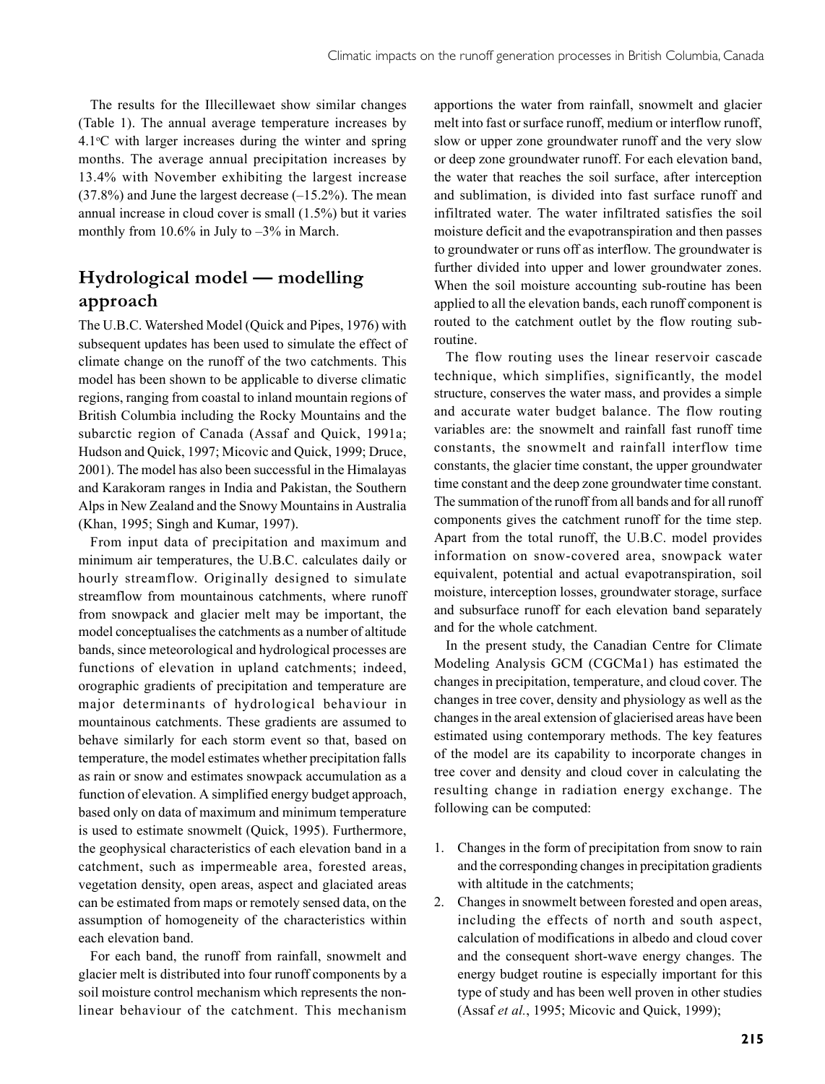The results for the Illecillewaet show similar changes (Table 1). The annual average temperature increases by  $4.1\degree$ C with larger increases during the winter and spring months. The average annual precipitation increases by 13.4% with November exhibiting the largest increase  $(37.8\%)$  and June the largest decrease  $(-15.2\%)$ . The mean annual increase in cloud cover is small (1.5%) but it varies monthly from 10.6% in July to  $-3\%$  in March.

# **Hydrological model — modelling approach**

The U.B.C. Watershed Model (Quick and Pipes, 1976) with subsequent updates has been used to simulate the effect of climate change on the runoff of the two catchments. This model has been shown to be applicable to diverse climatic regions, ranging from coastal to inland mountain regions of British Columbia including the Rocky Mountains and the subarctic region of Canada (Assaf and Quick, 1991a; Hudson and Quick, 1997; Micovic and Quick, 1999; Druce, 2001). The model has also been successful in the Himalayas and Karakoram ranges in India and Pakistan, the Southern Alps in New Zealand and the Snowy Mountains in Australia (Khan, 1995; Singh and Kumar, 1997).

From input data of precipitation and maximum and minimum air temperatures, the U.B.C. calculates daily or hourly streamflow. Originally designed to simulate streamflow from mountainous catchments, where runoff from snowpack and glacier melt may be important, the model conceptualises the catchments as a number of altitude bands, since meteorological and hydrological processes are functions of elevation in upland catchments; indeed, orographic gradients of precipitation and temperature are major determinants of hydrological behaviour in mountainous catchments. These gradients are assumed to behave similarly for each storm event so that, based on temperature, the model estimates whether precipitation falls as rain or snow and estimates snowpack accumulation as a function of elevation. A simplified energy budget approach, based only on data of maximum and minimum temperature is used to estimate snowmelt (Quick, 1995). Furthermore, the geophysical characteristics of each elevation band in a catchment, such as impermeable area, forested areas, vegetation density, open areas, aspect and glaciated areas can be estimated from maps or remotely sensed data, on the assumption of homogeneity of the characteristics within each elevation band.

For each band, the runoff from rainfall, snowmelt and glacier melt is distributed into four runoff components by a soil moisture control mechanism which represents the nonlinear behaviour of the catchment. This mechanism

apportions the water from rainfall, snowmelt and glacier melt into fast or surface runoff, medium or interflow runoff, slow or upper zone groundwater runoff and the very slow or deep zone groundwater runoff. For each elevation band, the water that reaches the soil surface, after interception and sublimation, is divided into fast surface runoff and infiltrated water. The water infiltrated satisfies the soil moisture deficit and the evapotranspiration and then passes to groundwater or runs off as interflow. The groundwater is further divided into upper and lower groundwater zones. When the soil moisture accounting sub-routine has been applied to all the elevation bands, each runoff component is routed to the catchment outlet by the flow routing subroutine.

The flow routing uses the linear reservoir cascade technique, which simplifies, significantly, the model structure, conserves the water mass, and provides a simple and accurate water budget balance. The flow routing variables are: the snowmelt and rainfall fast runoff time constants, the snowmelt and rainfall interflow time constants, the glacier time constant, the upper groundwater time constant and the deep zone groundwater time constant. The summation of the runoff from all bands and for all runoff components gives the catchment runoff for the time step. Apart from the total runoff, the U.B.C. model provides information on snow-covered area, snowpack water equivalent, potential and actual evapotranspiration, soil moisture, interception losses, groundwater storage, surface and subsurface runoff for each elevation band separately and for the whole catchment.

In the present study, the Canadian Centre for Climate Modeling Analysis GCM (CGCMa1) has estimated the changes in precipitation, temperature, and cloud cover. The changes in tree cover, density and physiology as well as the changes in the areal extension of glacierised areas have been estimated using contemporary methods. The key features of the model are its capability to incorporate changes in tree cover and density and cloud cover in calculating the resulting change in radiation energy exchange. The following can be computed:

- 1. Changes in the form of precipitation from snow to rain and the corresponding changes in precipitation gradients with altitude in the catchments;
- 2. Changes in snowmelt between forested and open areas, including the effects of north and south aspect, calculation of modifications in albedo and cloud cover and the consequent short-wave energy changes. The energy budget routine is especially important for this type of study and has been well proven in other studies (Assaf *et al.*, 1995; Micovic and Quick, 1999);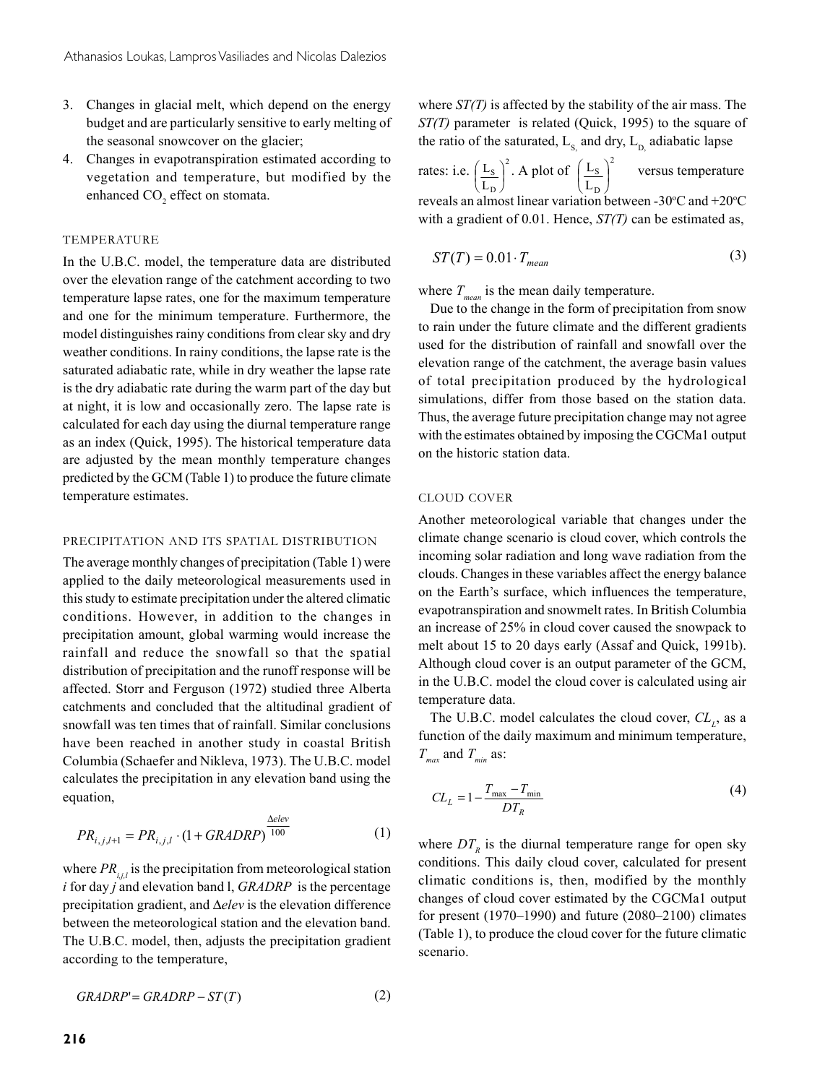- 3. Changes in glacial melt, which depend on the energy budget and are particularly sensitive to early melting of the seasonal snowcover on the glacier;
- 4. Changes in evapotranspiration estimated according to vegetation and temperature, but modified by the enhanced  $CO<sub>2</sub>$  effect on stomata.

#### TEMPERATURE

In the U.B.C. model, the temperature data are distributed over the elevation range of the catchment according to two temperature lapse rates, one for the maximum temperature and one for the minimum temperature. Furthermore, the model distinguishes rainy conditions from clear sky and dry weather conditions. In rainy conditions, the lapse rate is the saturated adiabatic rate, while in dry weather the lapse rate is the dry adiabatic rate during the warm part of the day but at night, it is low and occasionally zero. The lapse rate is calculated for each day using the diurnal temperature range as an index (Quick, 1995). The historical temperature data are adjusted by the mean monthly temperature changes predicted by the GCM (Table 1) to produce the future climate temperature estimates.

#### PRECIPITATION AND ITS SPATIAL DISTRIBUTION

The average monthly changes of precipitation (Table 1) were applied to the daily meteorological measurements used in this study to estimate precipitation under the altered climatic conditions. However, in addition to the changes in precipitation amount, global warming would increase the rainfall and reduce the snowfall so that the spatial distribution of precipitation and the runoff response will be affected. Storr and Ferguson (1972) studied three Alberta catchments and concluded that the altitudinal gradient of snowfall was ten times that of rainfall. Similar conclusions have been reached in another study in coastal British Columbia (Schaefer and Nikleva, 1973). The U.B.C. model calculates the precipitation in any elevation band using the equation,

$$
PR_{i,j,l+1} = PR_{i,j,l} \cdot (1 + GRADRP)^{\frac{\Delta elev}{100}}
$$
 (1)

where  $PR_{ij}$  is the precipitation from meteorological station *i* for day *j* and elevation band l, *GRADRP* is the percentage precipitation gradient, and ∆*elev* is the elevation difference between the meteorological station and the elevation band. The U.B.C. model, then, adjusts the precipitation gradient according to the temperature,

$$
GRADRP = GRADRP - ST(T)
$$
 (2)

where *ST(T)* is affected by the stability of the air mass. The *ST(T)* parameter is related (Quick, 1995) to the square of the ratio of the saturated,  $L_s$  and dry,  $L_p$  adiabatic lapse

rates: i.e.  $(\perp)$ L S D ſ  $\left(\frac{L_{\rm S}}{L_{\rm D}}\right)$ <sup>2</sup>. A plot of  $\left(\frac{L}{2}\right)$ L S D ſ  $\left(\frac{L_{\rm S}}{L_{\rm D}}\right)$ 2 versus temperature reveals an almost linear variation between -30 $\rm ^{o}C$  and +20 $\rm ^{o}C$ with a gradient of 0.01. Hence, *ST(T)* can be estimated as,

$$
ST(T) = 0.01 \cdot T_{mean} \tag{3}
$$

where  $T_{\text{mean}}$  is the mean daily temperature.

Due to the change in the form of precipitation from snow to rain under the future climate and the different gradients used for the distribution of rainfall and snowfall over the elevation range of the catchment, the average basin values of total precipitation produced by the hydrological simulations, differ from those based on the station data. Thus, the average future precipitation change may not agree with the estimates obtained by imposing the CGCMa1 output on the historic station data.

#### CLOUD COVER

Another meteorological variable that changes under the climate change scenario is cloud cover, which controls the incoming solar radiation and long wave radiation from the clouds. Changes in these variables affect the energy balance on the Earth's surface, which influences the temperature, evapotranspiration and snowmelt rates. In British Columbia an increase of 25% in cloud cover caused the snowpack to melt about 15 to 20 days early (Assaf and Quick, 1991b). Although cloud cover is an output parameter of the GCM, in the U.B.C. model the cloud cover is calculated using air temperature data.

The U.B.C. model calculates the cloud cover,  $CL<sub>L</sub>$ , as a function of the daily maximum and minimum temperature,  $T_{max}$  and  $T_{min}$  as:

$$
CL_L = 1 - \frac{T_{\text{max}} - T_{\text{min}}}{DT_R} \tag{4}
$$

where  $DT<sub>R</sub>$  is the diurnal temperature range for open sky conditions. This daily cloud cover, calculated for present climatic conditions is, then, modified by the monthly changes of cloud cover estimated by the CGCMa1 output for present (1970–1990) and future (2080–2100) climates (Table 1), to produce the cloud cover for the future climatic scenario.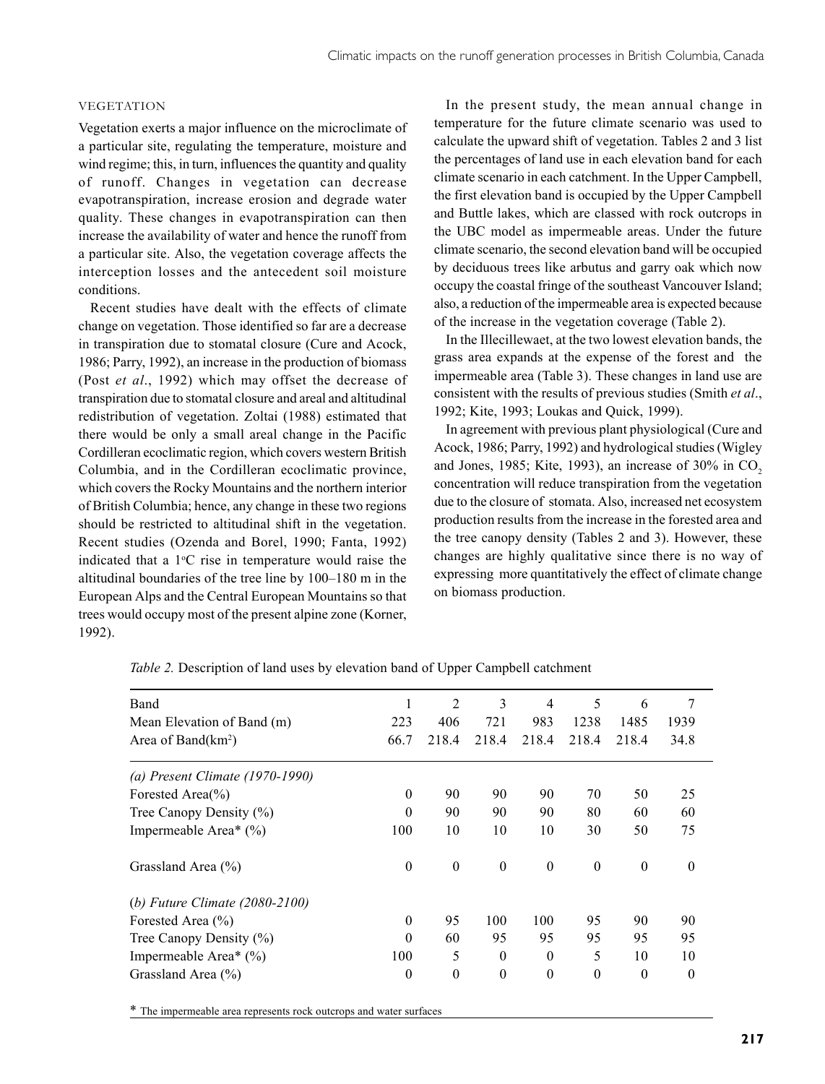#### VEGETATION

Vegetation exerts a major influence on the microclimate of a particular site, regulating the temperature, moisture and wind regime; this, in turn, influences the quantity and quality of runoff. Changes in vegetation can decrease evapotranspiration, increase erosion and degrade water quality. These changes in evapotranspiration can then increase the availability of water and hence the runoff from a particular site. Also, the vegetation coverage affects the interception losses and the antecedent soil moisture conditions.

Recent studies have dealt with the effects of climate change on vegetation. Those identified so far are a decrease in transpiration due to stomatal closure (Cure and Acock, 1986; Parry, 1992), an increase in the production of biomass (Post *et al*., 1992) which may offset the decrease of transpiration due to stomatal closure and areal and altitudinal redistribution of vegetation. Zoltai (1988) estimated that there would be only a small areal change in the Pacific Cordilleran ecoclimatic region, which covers western British Columbia, and in the Cordilleran ecoclimatic province, which covers the Rocky Mountains and the northern interior of British Columbia; hence, any change in these two regions should be restricted to altitudinal shift in the vegetation. Recent studies (Ozenda and Borel, 1990; Fanta, 1992) indicated that a  $1^{\circ}$ C rise in temperature would raise the altitudinal boundaries of the tree line by 100–180 m in the European Alps and the Central European Mountains so that trees would occupy most of the present alpine zone (Korner, 1992).

In the present study, the mean annual change in temperature for the future climate scenario was used to calculate the upward shift of vegetation. Tables 2 and 3 list the percentages of land use in each elevation band for each climate scenario in each catchment. In the Upper Campbell, the first elevation band is occupied by the Upper Campbell and Buttle lakes, which are classed with rock outcrops in the UBC model as impermeable areas. Under the future climate scenario, the second elevation band will be occupied by deciduous trees like arbutus and garry oak which now occupy the coastal fringe of the southeast Vancouver Island; also, a reduction of the impermeable area is expected because of the increase in the vegetation coverage (Table 2).

In the Illecillewaet, at the two lowest elevation bands, the grass area expands at the expense of the forest and the impermeable area (Table 3). These changes in land use are consistent with the results of previous studies (Smith *et al*., 1992; Kite, 1993; Loukas and Quick, 1999).

In agreement with previous plant physiological (Cure and Acock, 1986; Parry, 1992) and hydrological studies (Wigley and Jones, 1985; Kite, 1993), an increase of  $30\%$  in CO<sub>2</sub> concentration will reduce transpiration from the vegetation due to the closure of stomata. Also, increased net ecosystem production results from the increase in the forested area and the tree canopy density (Tables 2 and 3). However, these changes are highly qualitative since there is no way of expressing more quantitatively the effect of climate change on biomass production.

| Band                              |          | $\overline{2}$ | 3        | 4        | 5        | 6        |          |  |
|-----------------------------------|----------|----------------|----------|----------|----------|----------|----------|--|
| Mean Elevation of Band (m)        | 223      | 406            | 721      | 983      | 1238     | 1485     | 1939     |  |
| Area of Band $(km^2)$             | 66.7     | 218.4          | 218.4    | 218.4    | 218.4    | 218.4    | 34.8     |  |
| (a) Present Climate $(1970-1990)$ |          |                |          |          |          |          |          |  |
| Forested Area(%)                  | $\theta$ | 90             | 90       | 90       | 70       | 50       | 25       |  |
| Tree Canopy Density $(\% )$       | $\theta$ | 90             | 90       | 90       | 80       | 60       | 60       |  |
| Impermeable Area* $(\% )$         | 100      | 10             | 10       | 10       | 30       | 50       | 75       |  |
| Grassland Area (%)                | $\theta$ | $\theta$       | $\theta$ | $\theta$ | $\theta$ | $\theta$ | $\Omega$ |  |
| (b) Future Climate $(2080-2100)$  |          |                |          |          |          |          |          |  |
| Forested Area (%)                 | $\theta$ | 95             | 100      | 100      | 95       | 90       | 90       |  |
| Tree Canopy Density $(\% )$       | $\theta$ | 60             | 95       | 95       | 95       | 95       | 95       |  |
| Impermeable Area* $(\% )$         | 100      | 5              | $\theta$ | $\theta$ | 5        | 10       | 10       |  |
| Grassland Area (%)                | 0        | $\theta$       | $\theta$ | $\theta$ | $\theta$ | $\theta$ | $\theta$ |  |

*Table 2.* Description of land uses by elevation band of Upper Campbell catchment

\* The impermeable area represents rock outcrops and water surfaces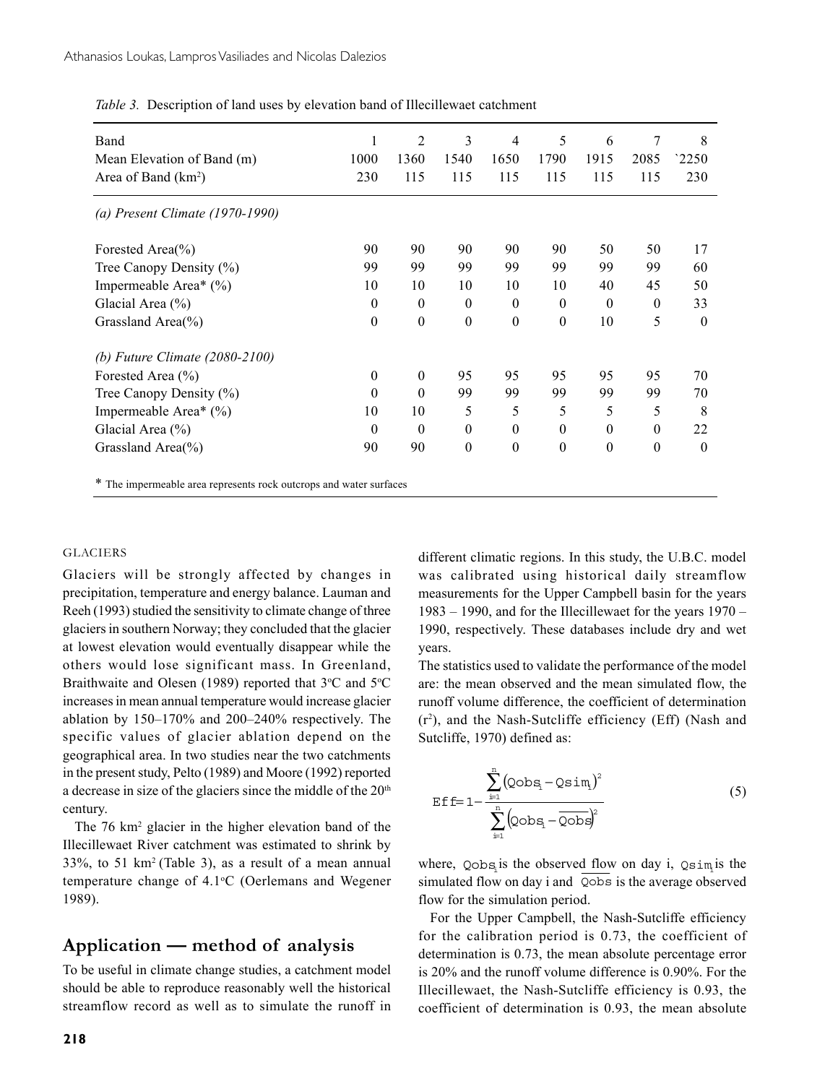| Band                                                               | 1            | $\overline{2}$   | 3                | 4        | 5                | 6                | 7                | 8        |
|--------------------------------------------------------------------|--------------|------------------|------------------|----------|------------------|------------------|------------------|----------|
| Mean Elevation of Band (m)                                         | 1000         | 1360             | 1540             | 1650     | 1790             | 1915             | 2085             | 2250     |
| Area of Band $(km2)$                                               | 230          | 115              | 115              | 115      | 115              | 115              | 115              | 230      |
| (a) Present Climate (1970-1990)                                    |              |                  |                  |          |                  |                  |                  |          |
| Forested Area(%)                                                   | 90           | 90               | 90               | 90       | 90               | 50               | 50               | 17       |
| Tree Canopy Density (%)                                            | 99           | 99               | 99               | 99       | 99               | 99               | 99               | 60       |
| Impermeable Area* $(\% )$                                          | 10           | 10               | 10               | 10       | 10               | 40               | 45               | 50       |
| Glacial Area (%)                                                   | $\mathbf{0}$ | $\theta$         | $\theta$         | $\theta$ | $\theta$         | $\theta$         | $\theta$         | 33       |
| Grassland Area $\frac{6}{6}$                                       | $\theta$     | $\boldsymbol{0}$ | $\boldsymbol{0}$ | $\theta$ | $\theta$         | 10               | 5                | $\theta$ |
| (b) Future Climate $(2080-2100)$                                   |              |                  |                  |          |                  |                  |                  |          |
| Forested Area (%)                                                  | $\mathbf{0}$ | $\theta$         | 95               | 95       | 95               | 95               | 95               | 70       |
| Tree Canopy Density (%)                                            | 0            | $\Omega$         | 99               | 99       | 99               | 99               | 99               | 70       |
| Impermeable Area* $(\% )$                                          | 10           | 10               | 5                | 5        | 5                | 5                | 5                | 8        |
| Glacial Area (%)                                                   | $\theta$     | $\theta$         | $\boldsymbol{0}$ | $\theta$ | $\theta$         | $\mathbf{0}$     | $\mathbf{0}$     | 22       |
| Grassland Area $\frac{6}{6}$                                       | 90           | 90               | $\boldsymbol{0}$ | $\theta$ | $\boldsymbol{0}$ | $\boldsymbol{0}$ | $\boldsymbol{0}$ | $\theta$ |
| * The impermeable area represents rock outcrops and water surfaces |              |                  |                  |          |                  |                  |                  |          |

*Table 3.* Description of land uses by elevation band of Illecillewaet catchment

#### **GLACIERS**

Glaciers will be strongly affected by changes in precipitation, temperature and energy balance. Lauman and Reeh (1993) studied the sensitivity to climate change of three glaciers in southern Norway; they concluded that the glacier at lowest elevation would eventually disappear while the others would lose significant mass. In Greenland, Braithwaite and Olesen (1989) reported that  $3^{\circ}$ C and  $5^{\circ}$ C increases in mean annual temperature would increase glacier ablation by 150–170% and 200–240% respectively. The specific values of glacier ablation depend on the geographical area. In two studies near the two catchments in the present study, Pelto (1989) and Moore (1992) reported a decrease in size of the glaciers since the middle of the  $20<sup>th</sup>$ century.

The 76 km<sup>2</sup> glacier in the higher elevation band of the Illecillewaet River catchment was estimated to shrink by 33%, to 51 km2 (Table 3), as a result of a mean annual temperature change of 4.1°C (Oerlemans and Wegener 1989).

# **Application — method of analysis**

To be useful in climate change studies, a catchment model should be able to reproduce reasonably well the historical streamflow record as well as to simulate the runoff in

different climatic regions. In this study, the U.B.C. model was calibrated using historical daily streamflow measurements for the Upper Campbell basin for the years 1983 – 1990, and for the Illecillewaet for the years 1970 – 1990, respectively. These databases include dry and wet years.

The statistics used to validate the performance of the model are: the mean observed and the mean simulated flow, the runoff volume difference, the coefficient of determination (r2 ), and the Nash-Sutcliffe efficiency (Eff) (Nash and Sutcliffe, 1970) defined as:

$$
\begin{aligned} \n\mathbf{Eff} &= 1 - \frac{\sum_{i=1}^{n} (Q \circ b \mathbf{s}_{i} - Q \mathbf{s} \, \mathrm{im}_{i})^{2}}{\sum_{i=1}^{n} (Q \circ b \mathbf{s}_{i} - Q \circ b \mathbf{s})^{2}} \n\end{aligned} \tag{5}
$$

where,  $Q \circ b s$  is the observed flow on day i,  $Q \circ i m$  is the simulated flow on day i and  $\overline{Q \circ b}$  is the average observed flow for the simulation period.

For the Upper Campbell, the Nash-Sutcliffe efficiency for the calibration period is 0.73, the coefficient of determination is 0.73, the mean absolute percentage error is 20% and the runoff volume difference is 0.90%. For the Illecillewaet, the Nash-Sutcliffe efficiency is 0.93, the coefficient of determination is 0.93, the mean absolute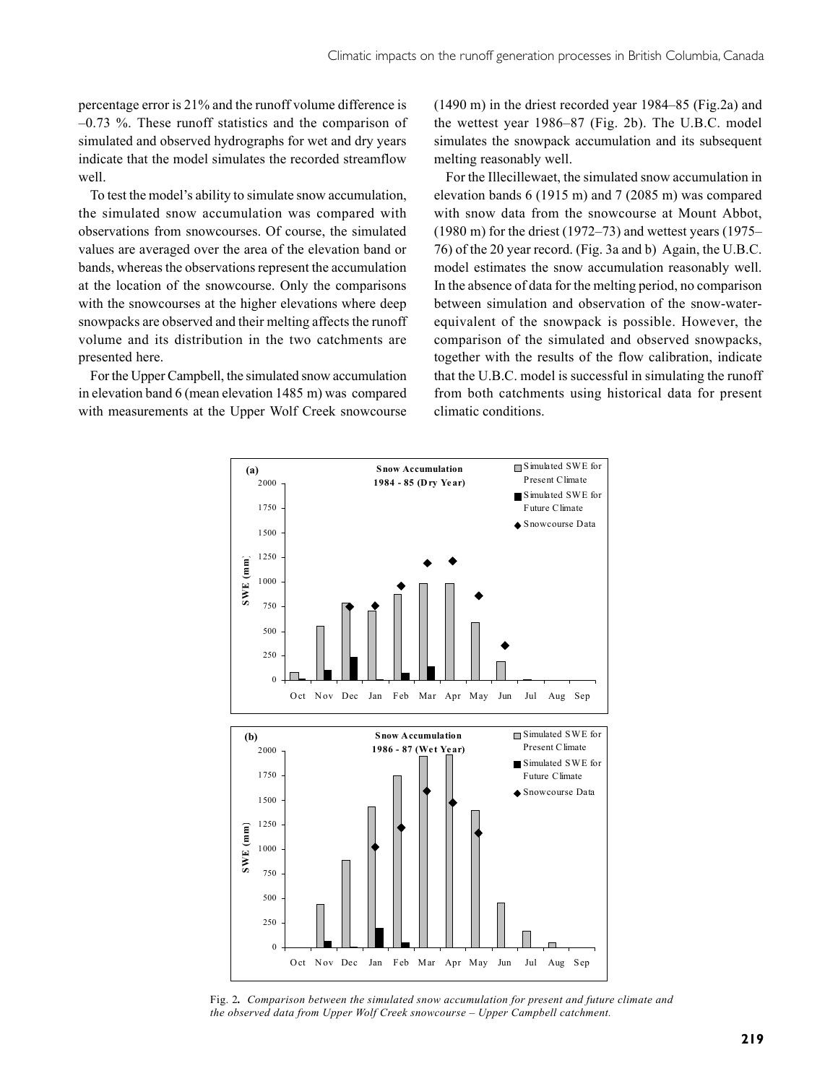percentage error is 21% and the runoff volume difference is –0.73 %. These runoff statistics and the comparison of simulated and observed hydrographs for wet and dry years indicate that the model simulates the recorded streamflow well.

To test the model's ability to simulate snow accumulation, the simulated snow accumulation was compared with observations from snowcourses. Of course, the simulated values are averaged over the area of the elevation band or bands, whereas the observations represent the accumulation at the location of the snowcourse. Only the comparisons with the snowcourses at the higher elevations where deep snowpacks are observed and their melting affects the runoff volume and its distribution in the two catchments are presented here.

For the Upper Campbell, the simulated snow accumulation in elevation band 6 (mean elevation 1485 m) was compared with measurements at the Upper Wolf Creek snowcourse (1490 m) in the driest recorded year 1984–85 (Fig.2a) and the wettest year 1986–87 (Fig. 2b). The U.B.C. model simulates the snowpack accumulation and its subsequent melting reasonably well.

For the Illecillewaet, the simulated snow accumulation in elevation bands 6 (1915 m) and 7 (2085 m) was compared with snow data from the snowcourse at Mount Abbot, (1980 m) for the driest (1972–73) and wettest years (1975– 76) of the 20 year record. (Fig. 3a and b) Again, the U.B.C. model estimates the snow accumulation reasonably well. In the absence of data for the melting period, no comparison between simulation and observation of the snow-waterequivalent of the snowpack is possible. However, the comparison of the simulated and observed snowpacks, together with the results of the flow calibration, indicate that the U.B.C. model is successful in simulating the runoff from both catchments using historical data for present climatic conditions.



Fig. 2*. Comparison between the simulated snow accumulation for present and future climate and the observed data from Upper Wolf Creek snowcourse – Upper Campbell catchment.*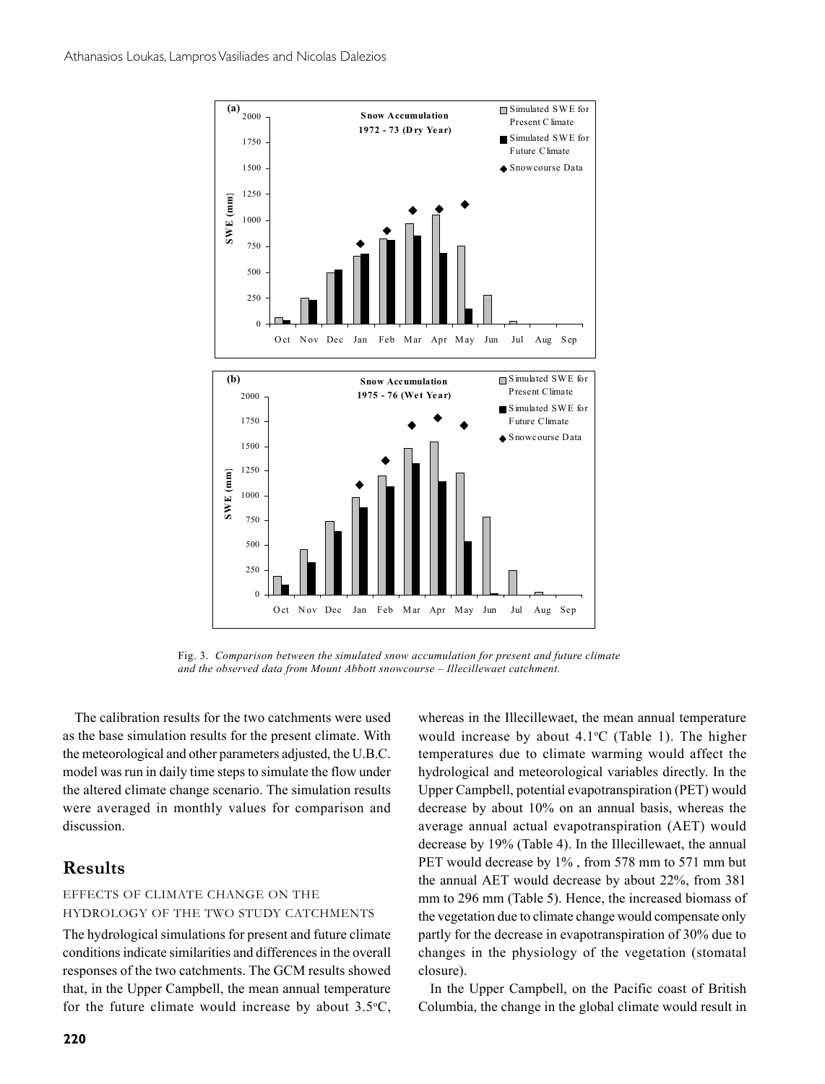

Fig. 3. *Comparison between the simulated snow accumulation for present and future climate and the observed data from Mount Abbott snowcourse – Illecillewaet catchment.*

The calibration results for the two catchments were used as the base simulation results for the present climate. With the meteorological and other parameters adjusted, the U.B.C. model was run in daily time steps to simulate the flow under the altered climate change scenario. The simulation results were averaged in monthly values for comparison and discussion.

### **Results**

#### EFFECTS OF CLIMATE CHANGE ON THE HYDROLOGY OF THE TWO STUDY CATCHMENTS

The hydrological simulations for present and future climate conditions indicate similarities and differences in the overall responses of the two catchments. The GCM results showed that, in the Upper Campbell, the mean annual temperature for the future climate would increase by about  $3.5^{\circ}C$ ,

would increase by about  $4.1$ °C (Table 1). The higher temperatures due to climate warming would affect the hydrological and meteorological variables directly. In the Upper Campbell, potential evapotranspiration (PET) would decrease by about 10% on an annual basis, whereas the average annual actual evapotranspiration (AET) would decrease by 19% (Table 4). In the Illecillewaet, the annual PET would decrease by  $1\%$ , from 578 mm to 571 mm but the annual AET would decrease by about 22%, from 381 mm to 296 mm (Table 5). Hence, the increased biomass of the vegetation due to climate change would compensate only partly for the decrease in evapotranspiration of 30% due to changes in the physiology of the vegetation (stomatal closure).

whereas in the Illecillewaet, the mean annual temperature

In the Upper Campbell, on the Pacific coast of British Columbia, the change in the global climate would result in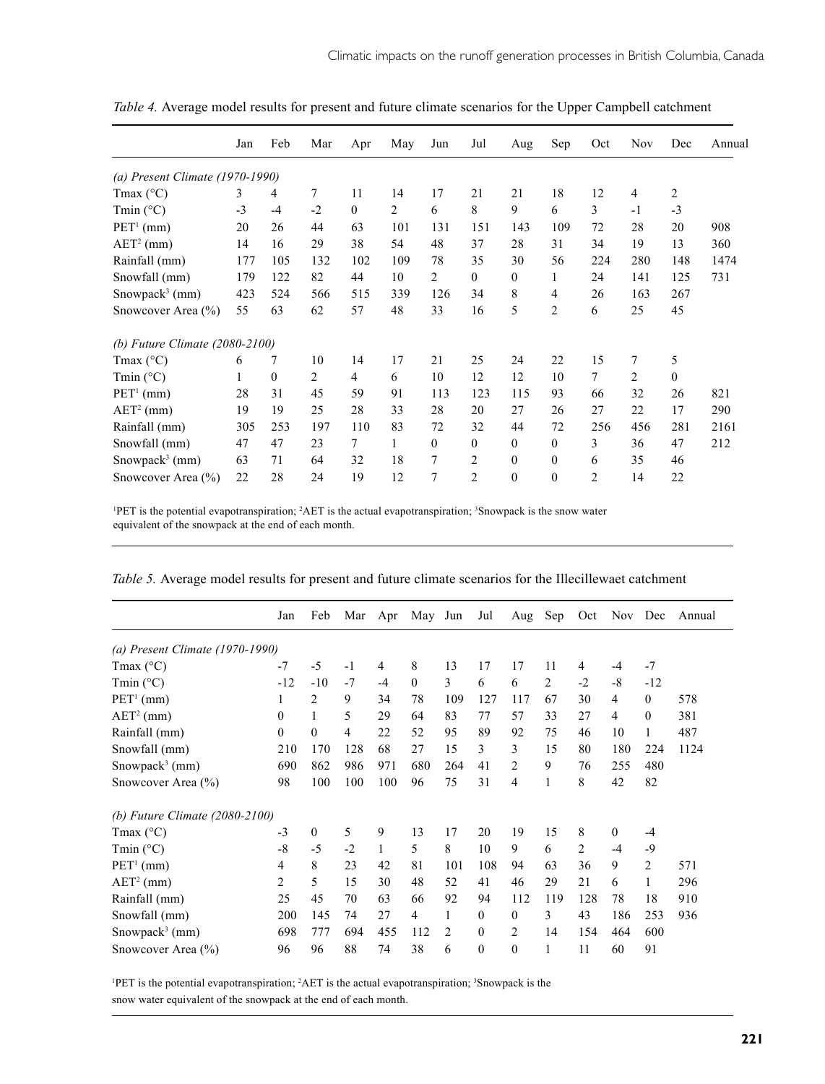|                                  | Jan  | Feb          | Mar  | Apr            | May | Jun            | Jul              | Aug          | Sep              | Oct            | Nov            | Dec          | Annual |
|----------------------------------|------|--------------|------|----------------|-----|----------------|------------------|--------------|------------------|----------------|----------------|--------------|--------|
| (a) Present Climate (1970-1990)  |      |              |      |                |     |                |                  |              |                  |                |                |              |        |
| Tmax $(^{\circ}C)$               | 3    | 4            | 7    | 11             | 14  | 17             | 21               | 21           | 18               | 12             | 4              | 2            |        |
| Tmin $(^{\circ}C)$               | $-3$ | $-4$         | $-2$ | $\mathbf{0}$   | 2   | 6              | 8                | 9            | 6                | $\overline{3}$ | $-1$           | $-3$         |        |
| $PET1$ (mm)                      | 20   | 26           | 44   | 63             | 101 | 131            | 151              | 143          | 109              | 72             | 28             | 20           | 908    |
| $AET2$ (mm)                      | 14   | 16           | 29   | 38             | 54  | 48             | 37               | 28           | 31               | 34             | 19             | 13           | 360    |
| Rainfall (mm)                    | 177  | 105          | 132  | 102            | 109 | 78             | 35               | 30           | 56               | 224            | 280            | 148          | 1474   |
| Snowfall (mm)                    | 179  | 122          | 82   | 44             | 10  | $\overline{2}$ | $\boldsymbol{0}$ | $\theta$     | 1                | 24             | 141            | 125          | 731    |
| Snowpack <sup>3</sup> (mm)       | 423  | 524          | 566  | 515            | 339 | 126            | 34               | 8            | 4                | 26             | 163            | 267          |        |
| Snowcover Area (%)               | 55   | 63           | 62   | 57             | 48  | 33             | 16               | 5            | $\overline{2}$   | 6              | 25             | 45           |        |
| (b) Future Climate $(2080-2100)$ |      |              |      |                |     |                |                  |              |                  |                |                |              |        |
| Tmax $(^{\circ}C)$               | 6    | 7            | 10   | 14             | 17  | 21             | 25               | 24           | 22               | 15             | 7              | 5            |        |
| Tmin $(^{\circ}C)$               |      | $\mathbf{0}$ | 2    | $\overline{4}$ | 6   | 10             | 12               | 12           | 10               | $\tau$         | $\overline{2}$ | $\mathbf{0}$ |        |
| $PET1$ (mm)                      | 28   | 31           | 45   | 59             | 91  | 113            | 123              | 115          | 93               | 66             | 32             | 26           | 821    |
| $AET2$ (mm)                      | 19   | 19           | 25   | 28             | 33  | 28             | 20               | 27           | 26               | 27             | 22             | 17           | 290    |
| Rainfall (mm)                    | 305  | 253          | 197  | 110            | 83  | 72             | 32               | 44           | 72               | 256            | 456            | 281          | 2161   |
| Snowfall (mm)                    | 47   | 47           | 23   | 7              | 1   | $\overline{0}$ | $\boldsymbol{0}$ | $\mathbf{0}$ | $\mathbf{0}$     | 3              | 36             | 47           | 212    |
| Snowpack <sup>3</sup> (mm)       | 63   | 71           | 64   | 32             | 18  | 7              | $\overline{c}$   | $\mathbf{0}$ | $\boldsymbol{0}$ | 6              | 35             | 46           |        |
| Snowcover Area (%)               | 22   | 28           | 24   | 19             | 12  | 7              | $\overline{2}$   | $\mathbf{0}$ | $\mathbf{0}$     | $\overline{2}$ | 14             | 22           |        |

*Table 4.* Average model results for present and future climate scenarios for the Upper Campbell catchment

<sup>1</sup>PET is the potential evapotranspiration; <sup>2</sup>AET is the actual evapotranspiration; <sup>3</sup>Snowpack is the snow water equivalent of the snowpack at the end of each month.

|                                  | Jan              | Feb      | Mar  | Apr  | May Jun  |     | Jul              | Aug            | Sep | Oct  | Nov      | Dec      | Annual |
|----------------------------------|------------------|----------|------|------|----------|-----|------------------|----------------|-----|------|----------|----------|--------|
| (a) Present Climate (1970-1990)  |                  |          |      |      |          |     |                  |                |     |      |          |          |        |
| Tmax $(^{\circ}C)$               | $-7$             | $-5$     | $-1$ | 4    | 8        | 13  | 17               | 17             | 11  | 4    | $-4$     | $-7$     |        |
| Tmin $(^{\circ}C)$               | $-12$            | $-10$    | $-7$ | $-4$ | $\theta$ | 3   | 6                | 6              | 2   | $-2$ | -8       | $-12$    |        |
| $PET1$ (mm)                      | 1                | 2        | 9    | 34   | 78       | 109 | 127              | 117            | 67  | 30   | 4        | $\theta$ | 578    |
| $AET2$ (mm)                      | $\boldsymbol{0}$ | 1        | 5    | 29   | 64       | 83  | 77               | 57             | 33  | 27   | 4        | $\theta$ | 381    |
| Rainfall (mm)                    | $\boldsymbol{0}$ | $\theta$ | 4    | 22   | 52       | 95  | 89               | 92             | 75  | 46   | 10       |          | 487    |
| Snowfall (mm)                    | 210              | 170      | 128  | 68   | 27       | 15  | 3                | 3              | 15  | 80   | 180      | 224      | 1124   |
| Snowpack <sup>3</sup> (mm)       | 690              | 862      | 986  | 971  | 680      | 264 | 41               | $\mathfrak{D}$ | 9   | 76   | 255      | 480      |        |
| Snowcover Area (%)               | 98               | 100      | 100  | 100  | 96       | 75  | 31               | 4              |     | 8    | 42       | 82       |        |
| (b) Future Climate $(2080-2100)$ |                  |          |      |      |          |     |                  |                |     |      |          |          |        |
| Tmax $(^{\circ}C)$               | $-3$             | $\theta$ | 5    | 9    | 13       | 17  | 20               | 19             | 15  | 8    | $\theta$ | $-4$     |        |
| Tmin $(^{\circ}C)$               | $-8$             | $-5$     | $-2$ | 1    | 5        | 8   | 10               | 9              | 6   | 2    | $-4$     | $-9$     |        |
| $PET1$ (mm)                      | 4                | 8        | 23   | 42   | 81       | 101 | 108              | 94             | 63  | 36   | 9        | 2        | 571    |
| $AET2$ (mm)                      | 2                | 5        | 15   | 30   | 48       | 52  | 41               | 46             | 29  | 21   | 6        |          | 296    |
| Rainfall (mm)                    | 25               | 45       | 70   | 63   | 66       | 92  | 94               | 112            | 119 | 128  | 78       | 18       | 910    |
| Snowfall (mm)                    | 200              | 145      | 74   | 27   | 4        |     | $\theta$         | $\theta$       | 3   | 43   | 186      | 253      | 936    |
| Snowpack <sup>3</sup> (mm)       | 698              | 777      | 694  | 455  | 112      | 2   | $\mathbf{0}$     | 2              | 14  | 154  | 464      | 600      |        |
| Snowcover Area (%)               | 96               | 96       | 88   | 74   | 38       | 6   | $\boldsymbol{0}$ | $\mathbf{0}$   |     | 11   | 60       | 91       |        |

|  |  | Table 5. Average model results for present and future climate scenarios for the Illecillewaet catchment |
|--|--|---------------------------------------------------------------------------------------------------------|
|--|--|---------------------------------------------------------------------------------------------------------|

<sup>1</sup>PET is the potential evapotranspiration;  ${}^{2}$ AET is the actual evapotranspiration;  ${}^{3}$ Snowpack is the snow water equivalent of the snowpack at the end of each month.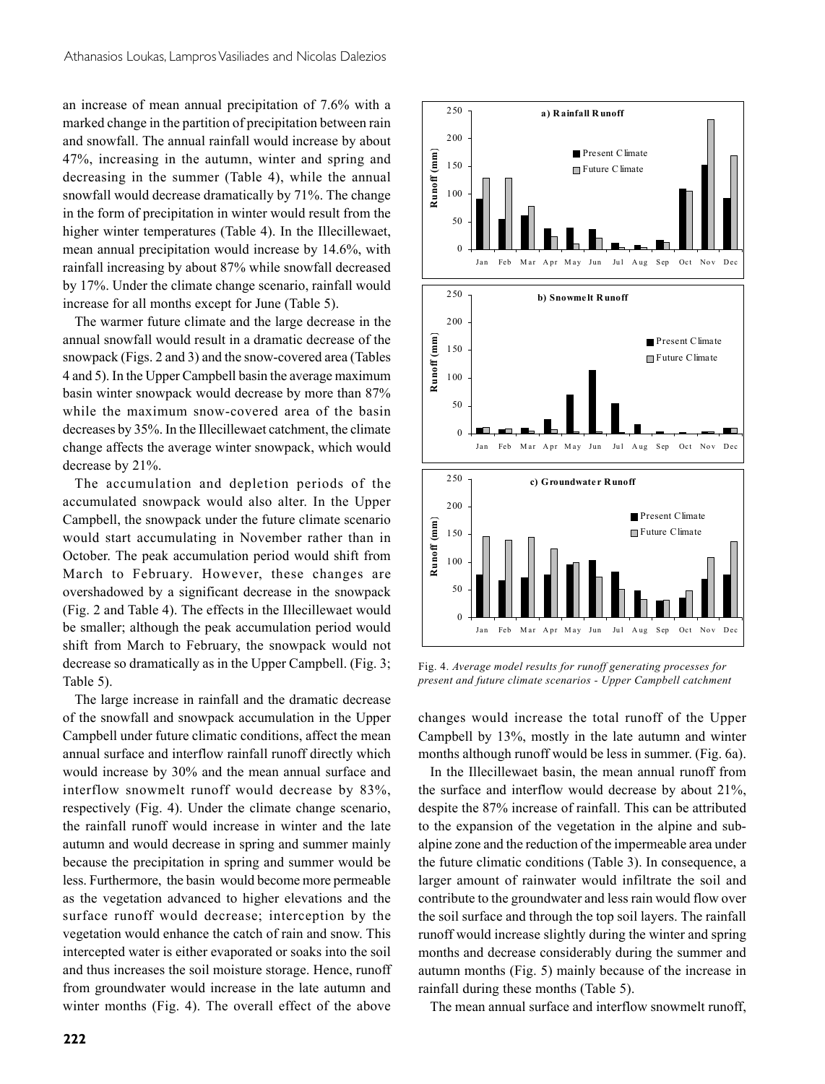an increase of mean annual precipitation of 7.6% with a marked change in the partition of precipitation between rain and snowfall. The annual rainfall would increase by about 47%, increasing in the autumn, winter and spring and decreasing in the summer (Table 4), while the annual snowfall would decrease dramatically by 71%. The change in the form of precipitation in winter would result from the higher winter temperatures (Table 4). In the Illecillewaet, mean annual precipitation would increase by 14.6%, with rainfall increasing by about 87% while snowfall decreased by 17%. Under the climate change scenario, rainfall would increase for all months except for June (Table 5).

The warmer future climate and the large decrease in the annual snowfall would result in a dramatic decrease of the snowpack (Figs. 2 and 3) and the snow-covered area (Tables 4 and 5). In the Upper Campbell basin the average maximum basin winter snowpack would decrease by more than 87% while the maximum snow-covered area of the basin decreases by 35%. In the Illecillewaet catchment, the climate change affects the average winter snowpack, which would decrease by 21%.

The accumulation and depletion periods of the accumulated snowpack would also alter. In the Upper Campbell, the snowpack under the future climate scenario would start accumulating in November rather than in October. The peak accumulation period would shift from March to February. However, these changes are overshadowed by a significant decrease in the snowpack (Fig. 2 and Table 4). The effects in the Illecillewaet would be smaller; although the peak accumulation period would shift from March to February, the snowpack would not decrease so dramatically as in the Upper Campbell. (Fig. 3; Table 5).

The large increase in rainfall and the dramatic decrease of the snowfall and snowpack accumulation in the Upper Campbell under future climatic conditions, affect the mean annual surface and interflow rainfall runoff directly which would increase by 30% and the mean annual surface and interflow snowmelt runoff would decrease by 83%, respectively (Fig. 4). Under the climate change scenario, the rainfall runoff would increase in winter and the late autumn and would decrease in spring and summer mainly because the precipitation in spring and summer would be less. Furthermore, the basin would become more permeable as the vegetation advanced to higher elevations and the surface runoff would decrease; interception by the vegetation would enhance the catch of rain and snow. This intercepted water is either evaporated or soaks into the soil and thus increases the soil moisture storage. Hence, runoff from groundwater would increase in the late autumn and winter months (Fig. 4). The overall effect of the above



Fig. 4. *Average model results for runoff generating processes for present and future climate scenarios - Upper Campbell catchment*

changes would increase the total runoff of the Upper Campbell by 13%, mostly in the late autumn and winter months although runoff would be less in summer. (Fig. 6a).

In the Illecillewaet basin, the mean annual runoff from the surface and interflow would decrease by about 21%, despite the 87% increase of rainfall. This can be attributed to the expansion of the vegetation in the alpine and subalpine zone and the reduction of the impermeable area under the future climatic conditions (Table 3). In consequence, a larger amount of rainwater would infiltrate the soil and contribute to the groundwater and less rain would flow over the soil surface and through the top soil layers. The rainfall runoff would increase slightly during the winter and spring months and decrease considerably during the summer and autumn months (Fig. 5) mainly because of the increase in rainfall during these months (Table 5).

The mean annual surface and interflow snowmelt runoff,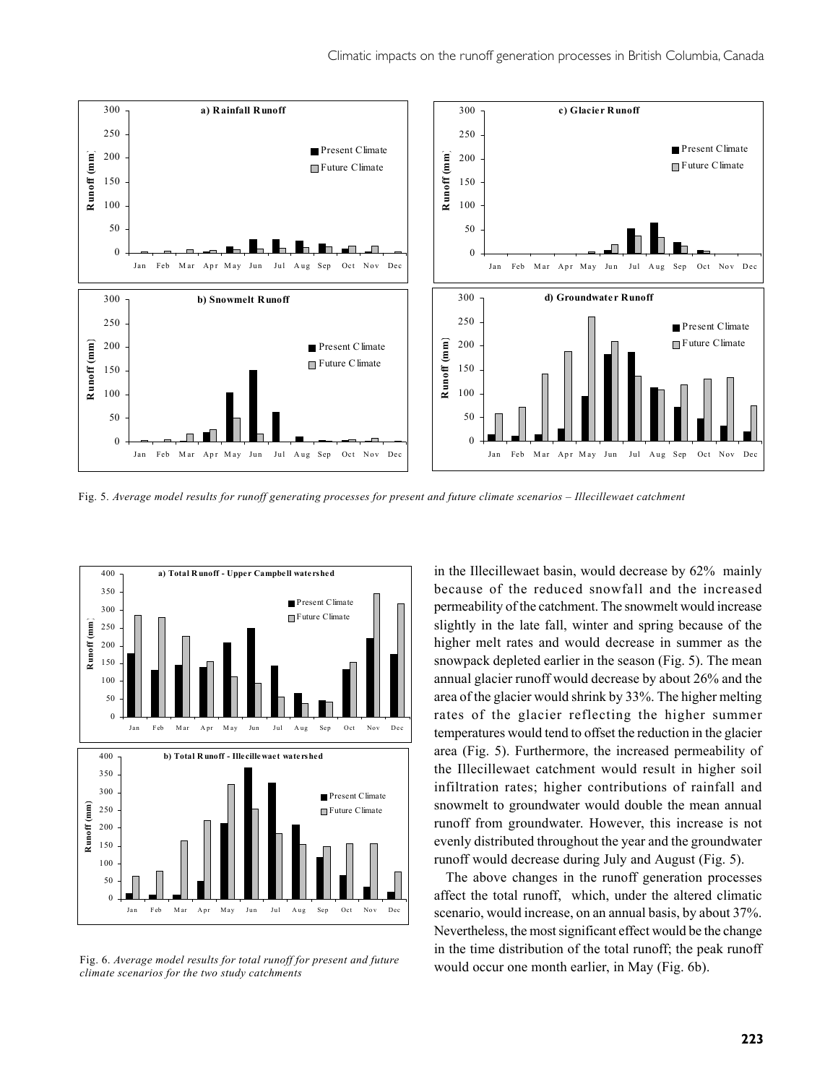

Fig. 5. *Average model results for runoff generating processes for present and future climate scenarios – Illecillewaet catchment*



Fig. 6. *Average model results for total runoff for present and future climate scenarios for the two study catchments*

in the Illecillewaet basin, would decrease by 62% mainly because of the reduced snowfall and the increased permeability of the catchment. The snowmelt would increase slightly in the late fall, winter and spring because of the higher melt rates and would decrease in summer as the snowpack depleted earlier in the season (Fig. 5). The mean annual glacier runoff would decrease by about 26% and the area of the glacier would shrink by 33%. The higher melting rates of the glacier reflecting the higher summer temperatures would tend to offset the reduction in the glacier area (Fig. 5). Furthermore, the increased permeability of the Illecillewaet catchment would result in higher soil infiltration rates; higher contributions of rainfall and snowmelt to groundwater would double the mean annual runoff from groundwater. However, this increase is not evenly distributed throughout the year and the groundwater runoff would decrease during July and August (Fig. 5).

The above changes in the runoff generation processes affect the total runoff, which, under the altered climatic scenario, would increase, on an annual basis, by about 37%. Nevertheless, the most significant effect would be the change in the time distribution of the total runoff; the peak runoff would occur one month earlier, in May (Fig. 6b).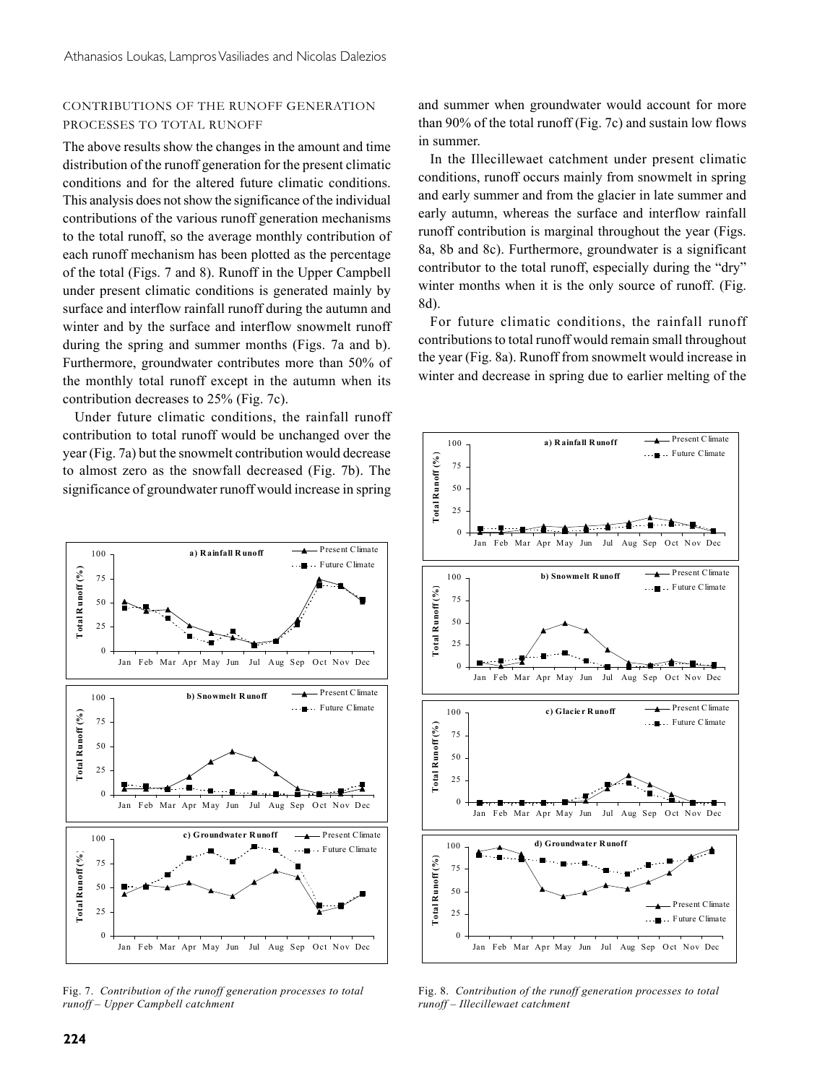#### CONTRIBUTIONS OF THE RUNOFF GENERATION PROCESSES TO TOTAL RUNOFF

The above results show the changes in the amount and time distribution of the runoff generation for the present climatic conditions and for the altered future climatic conditions. This analysis does not show the significance of the individual contributions of the various runoff generation mechanisms to the total runoff, so the average monthly contribution of each runoff mechanism has been plotted as the percentage of the total (Figs. 7 and 8). Runoff in the Upper Campbell under present climatic conditions is generated mainly by surface and interflow rainfall runoff during the autumn and winter and by the surface and interflow snowmelt runoff during the spring and summer months (Figs. 7a and b). Furthermore, groundwater contributes more than 50% of the monthly total runoff except in the autumn when its contribution decreases to 25% (Fig. 7c).

Under future climatic conditions, the rainfall runoff contribution to total runoff would be unchanged over the year (Fig. 7a) but the snowmelt contribution would decrease to almost zero as the snowfall decreased (Fig. 7b). The significance of groundwater runoff would increase in spring



Fig. 7. *Contribution of the runoff generation processes to total runoff – Upper Campbell catchment*

and summer when groundwater would account for more than 90% of the total runoff (Fig. 7c) and sustain low flows in summer.

In the Illecillewaet catchment under present climatic conditions, runoff occurs mainly from snowmelt in spring and early summer and from the glacier in late summer and early autumn, whereas the surface and interflow rainfall runoff contribution is marginal throughout the year (Figs. 8a, 8b and 8c). Furthermore, groundwater is a significant contributor to the total runoff, especially during the "dry" winter months when it is the only source of runoff. (Fig. 8d).

For future climatic conditions, the rainfall runoff contributions to total runoff would remain small throughout the year (Fig. 8a). Runoff from snowmelt would increase in winter and decrease in spring due to earlier melting of the



Fig. 8. *Contribution of the runoff generation processes to total runoff – Illecillewaet catchment*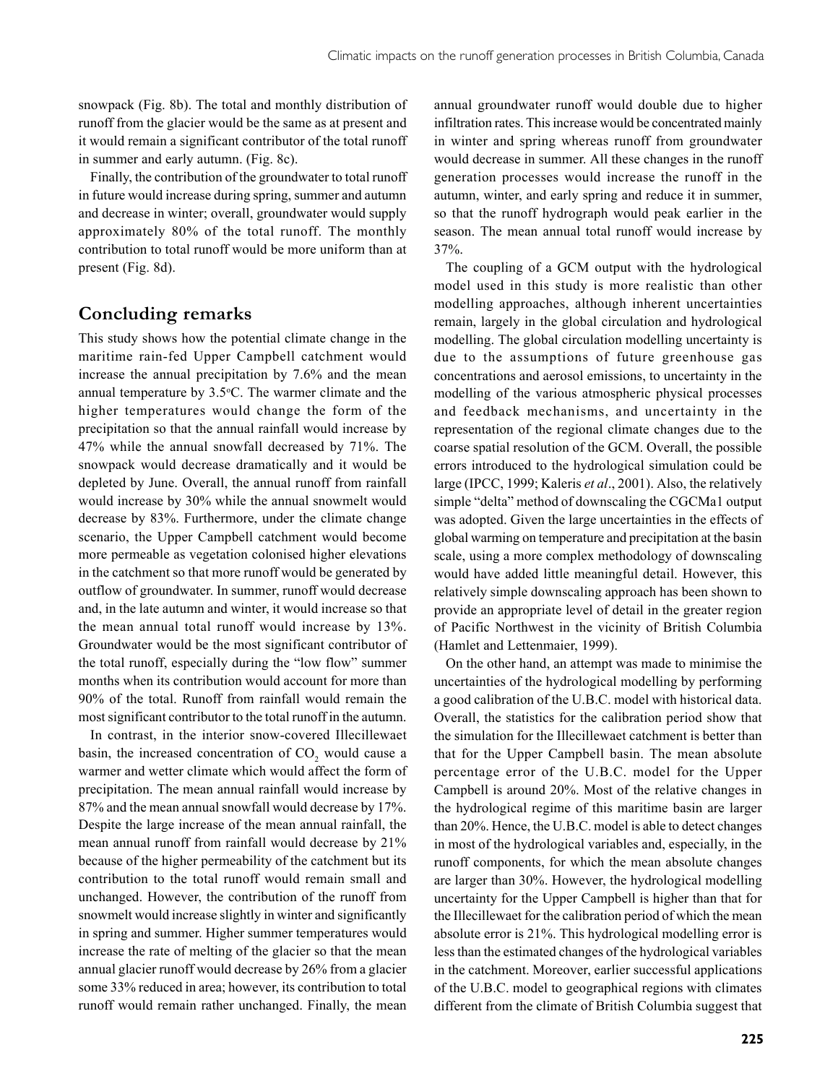snowpack (Fig. 8b). The total and monthly distribution of runoff from the glacier would be the same as at present and it would remain a significant contributor of the total runoff in summer and early autumn. (Fig. 8c).

Finally, the contribution of the groundwater to total runoff in future would increase during spring, summer and autumn and decrease in winter; overall, groundwater would supply approximately 80% of the total runoff. The monthly contribution to total runoff would be more uniform than at present (Fig. 8d).

# **Concluding remarks**

This study shows how the potential climate change in the maritime rain-fed Upper Campbell catchment would increase the annual precipitation by 7.6% and the mean annual temperature by  $3.5$ °C. The warmer climate and the higher temperatures would change the form of the precipitation so that the annual rainfall would increase by 47% while the annual snowfall decreased by 71%. The snowpack would decrease dramatically and it would be depleted by June. Overall, the annual runoff from rainfall would increase by 30% while the annual snowmelt would decrease by 83%. Furthermore, under the climate change scenario, the Upper Campbell catchment would become more permeable as vegetation colonised higher elevations in the catchment so that more runoff would be generated by outflow of groundwater. In summer, runoff would decrease and, in the late autumn and winter, it would increase so that the mean annual total runoff would increase by 13%. Groundwater would be the most significant contributor of the total runoff, especially during the "low flow" summer months when its contribution would account for more than 90% of the total. Runoff from rainfall would remain the most significant contributor to the total runoff in the autumn.

In contrast, in the interior snow-covered Illecillewaet basin, the increased concentration of  $CO<sub>2</sub>$  would cause a warmer and wetter climate which would affect the form of precipitation. The mean annual rainfall would increase by 87% and the mean annual snowfall would decrease by 17%. Despite the large increase of the mean annual rainfall, the mean annual runoff from rainfall would decrease by 21% because of the higher permeability of the catchment but its contribution to the total runoff would remain small and unchanged. However, the contribution of the runoff from snowmelt would increase slightly in winter and significantly in spring and summer. Higher summer temperatures would increase the rate of melting of the glacier so that the mean annual glacier runoff would decrease by 26% from a glacier some 33% reduced in area; however, its contribution to total runoff would remain rather unchanged. Finally, the mean

annual groundwater runoff would double due to higher infiltration rates. This increase would be concentrated mainly in winter and spring whereas runoff from groundwater would decrease in summer. All these changes in the runoff generation processes would increase the runoff in the autumn, winter, and early spring and reduce it in summer, so that the runoff hydrograph would peak earlier in the season. The mean annual total runoff would increase by 37%.

The coupling of a GCM output with the hydrological model used in this study is more realistic than other modelling approaches, although inherent uncertainties remain, largely in the global circulation and hydrological modelling. The global circulation modelling uncertainty is due to the assumptions of future greenhouse gas concentrations and aerosol emissions, to uncertainty in the modelling of the various atmospheric physical processes and feedback mechanisms, and uncertainty in the representation of the regional climate changes due to the coarse spatial resolution of the GCM. Overall, the possible errors introduced to the hydrological simulation could be large (IPCC, 1999; Kaleris *et al*., 2001). Also, the relatively simple "delta" method of downscaling the CGCMa1 output was adopted. Given the large uncertainties in the effects of global warming on temperature and precipitation at the basin scale, using a more complex methodology of downscaling would have added little meaningful detail. However, this relatively simple downscaling approach has been shown to provide an appropriate level of detail in the greater region of Pacific Northwest in the vicinity of British Columbia (Hamlet and Lettenmaier, 1999).

On the other hand, an attempt was made to minimise the uncertainties of the hydrological modelling by performing a good calibration of the U.B.C. model with historical data. Overall, the statistics for the calibration period show that the simulation for the Illecillewaet catchment is better than that for the Upper Campbell basin. The mean absolute percentage error of the U.B.C. model for the Upper Campbell is around 20%. Most of the relative changes in the hydrological regime of this maritime basin are larger than 20%. Hence, the U.B.C. model is able to detect changes in most of the hydrological variables and, especially, in the runoff components, for which the mean absolute changes are larger than 30%. However, the hydrological modelling uncertainty for the Upper Campbell is higher than that for the Illecillewaet for the calibration period of which the mean absolute error is 21%. This hydrological modelling error is less than the estimated changes of the hydrological variables in the catchment. Moreover, earlier successful applications of the U.B.C. model to geographical regions with climates different from the climate of British Columbia suggest that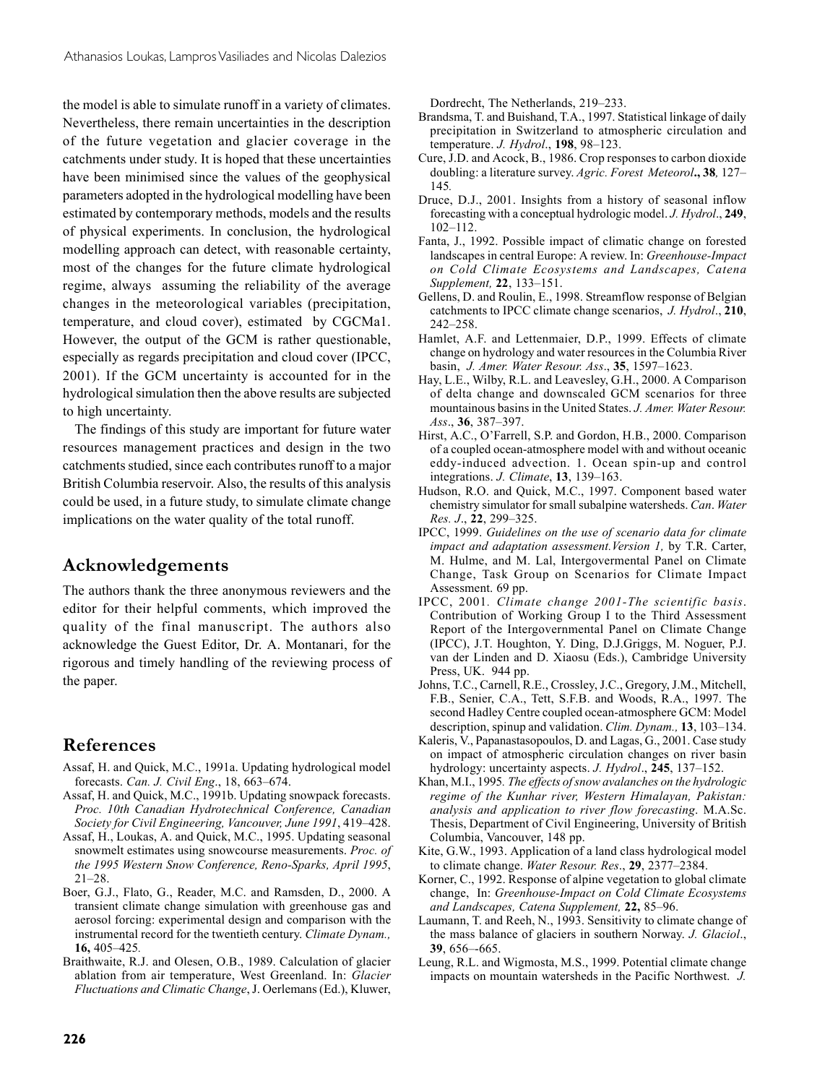the model is able to simulate runoff in a variety of climates. Nevertheless, there remain uncertainties in the description of the future vegetation and glacier coverage in the catchments under study. It is hoped that these uncertainties have been minimised since the values of the geophysical parameters adopted in the hydrological modelling have been estimated by contemporary methods, models and the results of physical experiments. In conclusion, the hydrological modelling approach can detect, with reasonable certainty, most of the changes for the future climate hydrological regime, always assuming the reliability of the average changes in the meteorological variables (precipitation, temperature, and cloud cover), estimated by CGCMa1. However, the output of the GCM is rather questionable, especially as regards precipitation and cloud cover (IPCC, 2001). If the GCM uncertainty is accounted for in the hydrological simulation then the above results are subjected to high uncertainty.

The findings of this study are important for future water resources management practices and design in the two catchments studied, since each contributes runoff to a major British Columbia reservoir. Also, the results of this analysis could be used, in a future study, to simulate climate change implications on the water quality of the total runoff.

# **Acknowledgements**

The authors thank the three anonymous reviewers and the editor for their helpful comments, which improved the quality of the final manuscript. The authors also acknowledge the Guest Editor, Dr. A. Montanari, for the rigorous and timely handling of the reviewing process of the paper.

# **References**

- Assaf, H. and Quick, M.C., 1991a. Updating hydrological model forecasts. *Can. J. Civil Eng*., 18, 663–674.
- Assaf, H. and Quick, M.C., 1991b. Updating snowpack forecasts. *Proc. 10th Canadian Hydrotechnical Conference, Canadian Society for Civil Engineering, Vancouver, June 1991*, 419–428.
- Assaf, H., Loukas, A. and Quick, M.C., 1995. Updating seasonal snowmelt estimates using snowcourse measurements. *Proc. of the 1995 Western Snow Conference, Reno-Sparks, April 1995*, 21–28.
- Boer, G.J., Flato, G., Reader, M.C. and Ramsden, D., 2000. A transient climate change simulation with greenhouse gas and aerosol forcing: experimental design and comparison with the instrumental record for the twentieth century. *Climate Dynam.,* **16,** 405–425*.*
- Braithwaite, R.J. and Olesen, O.B., 1989. Calculation of glacier ablation from air temperature, West Greenland. In: *Glacier Fluctuations and Climatic Change*, J. Oerlemans (Ed.), Kluwer,

Dordrecht, The Netherlands, 219–233.

- Brandsma, T. and Buishand, T.A., 1997. Statistical linkage of daily precipitation in Switzerland to atmospheric circulation and temperature. *J. Hydrol*., **198**, 98–123.
- Cure, J.D. and Acock, B., 1986. Crop responses to carbon dioxide doubling: a literature survey. *Agric. Forest Meteorol***., 38***,* 127– 145*.*
- Druce, D.J., 2001. Insights from a history of seasonal inflow forecasting with a conceptual hydrologic model. *J. Hydrol*., **249**, 102–112.
- Fanta, J., 1992. Possible impact of climatic change on forested landscapes in central Europe: A review. In: *Greenhouse-Impact on Cold Climate Ecosystems and Landscapes, Catena Supplement,* **22**, 133–151.
- Gellens, D. and Roulin, E., 1998. Streamflow response of Belgian catchments to IPCC climate change scenarios, *J. Hydrol*., **210**, 242–258.
- Hamlet, A.F. and Lettenmaier, D.P., 1999. Effects of climate change on hydrology and water resources in the Columbia River basin, *J. Amer. Water Resour. Ass*., **35**, 1597–1623.
- Hay, L.E., Wilby, R.L. and Leavesley, G.H., 2000. A Comparison of delta change and downscaled GCM scenarios for three mountainous basins in the United States. *J. Amer. Water Resour. Ass*., **36**, 387–397.
- Hirst, A.C., O'Farrell, S.P. and Gordon, H.B., 2000. Comparison of a coupled ocean-atmosphere model with and without oceanic eddy-induced advection. 1. Ocean spin-up and control integrations. *J. Climate*, **13**, 139–163.
- Hudson, R.O. and Quick, M.C., 1997. Component based water chemistry simulator for small subalpine watersheds. *Can*. *Water Res. J*., **22**, 299–325.
- IPCC, 1999. *Guidelines on the use of scenario data for climate impact and adaptation assessment.Version 1,* by T.R. Carter, M. Hulme, and M. Lal, Intergovermental Panel on Climate Change, Task Group on Scenarios for Climate Impact Assessment. 69 pp.
- IPCC, 2001*. Climate change 2001-The scientific basis*. Contribution of Working Group I to the Third Assessment Report of the Intergovernmental Panel on Climate Change (IPCC), J.T. Houghton, Y. Ding, D.J.Griggs, M. Noguer, P.J. van der Linden and D. Xiaosu (Eds.), Cambridge University Press, UK. 944 pp.
- Johns, T.C., Carnell, R.E., Crossley, J.C., Gregory, J.M., Mitchell, F.B., Senier, C.A., Tett, S.F.B. and Woods, R.A., 1997. The second Hadley Centre coupled ocean-atmosphere GCM: Model description, spinup and validation. *Clim. Dynam.,* **13**, 103–134.
- Kaleris, V., Papanastasopoulos, D. and Lagas, G., 2001. Case study on impact of atmospheric circulation changes on river basin hydrology: uncertainty aspects. *J. Hydrol*., **245**, 137–152.
- Khan, M.I., 1995*. The effects of snow avalanches on the hydrologic regime of the Kunhar river, Western Himalayan, Pakistan: analysis and application to river flow forecasting*. M.A.Sc. Thesis, Department of Civil Engineering, University of British Columbia, Vancouver, 148 pp.
- Kite, G.W., 1993. Application of a land class hydrological model to climate change. *Water Resour. Res*., **29**, 2377–2384.
- Korner, C., 1992. Response of alpine vegetation to global climate change, In: *Greenhouse-Impact on Cold Climate Ecosystems and Landscapes, Catena Supplement,* **22,** 85–96.
- Laumann, T. and Reeh, N., 1993. Sensitivity to climate change of the mass balance of glaciers in southern Norway. *J. Glaciol*., **39**, 656–-665.
- Leung, R.L. and Wigmosta, M.S., 1999. Potential climate change impacts on mountain watersheds in the Pacific Northwest. *J.*